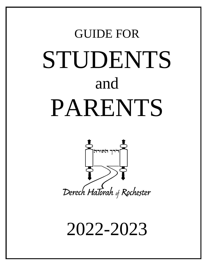# GUIDE FOR STUDENTS and PARENTS



2022-2023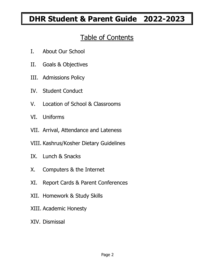## **DHR Student & Parent Guide 2022-2023**

## Table of Contents

- I. About Our School
- II. Goals & Objectives
- III. Admissions Policy
- IV. Student Conduct
- V. Location of School & Classrooms
- VI. Uniforms
- VII. Arrival, Attendance and Lateness
- VIII. Kashrus/Kosher Dietary Guidelines
- IX. Lunch & Snacks
- X. Computers & the Internet
- XI. Report Cards & Parent Conferences
- XII. Homework & Study Skills
- XIII. Academic Honesty
- XIV. Dismissal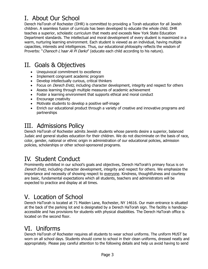## I. About Our School

Derech HaTorah of Rochester (DHR) is committed to providing a Torah education for all Jewish children. A seamless fusion of curricula has been developed to educate the whole child. DHR teaches a superior, scholastic curriculum that meets and exceeds New York State Education Department standards. The intellectual and moral development of every student is maximized in a warm, nurturing learning environment. Each student is viewed as an individual, having multiple capacities, interests and intelligences. Thus, our educational philosophy reflects the wisdom of Proverbs: "Chanoch L'naar Al Pi Darko" (educate each child according to his nature).

### II. Goals & Objectives

- Unequivocal commitment to excellence
- Implement congruent academic program
- Develop intellectually curious, critical thinkers
- Focus on *Derech Eretz*, including character development, integrity and respect for others
- Assess learning through multiple measures of academic achievement
- Foster a learning environment that supports ethical and moral conduct
- Encourage creativity
- Motivate students to develop a positive self-image
- Enrich our educational product through a variety of creative and innovative programs and partnerships

## III. Admissions Policy

Derech HaTorah of Rochester admits Jewish students whose parents desire a superior, balanced Judaic and general studies education for their children. We do not discriminate on the basis of race, color, gender, national or ethnic origin in administration of our educational policies, admission policies, scholarships or other school-sponsored programs.

## IV. Student Conduct

Prominently exhibited in our school's goals and objectives, Derech HaTorah's primary focus is on Derech Eretz, including character development, integrity and respect for others. We emphasize the importance and necessity of showing respect to everyone. Kindness, thoughtfulness and courtesy are basic, fundamental expectations which all students, teachers and administrators will be expected to practice and display at all times.

## V. Location of School

Derech HaTorah is located at 71 Maiden Lane, Rochester, NY 14616. Our main entrance is situated at the back of the parking lot and is designated by a Derech HaTorah sign. The facility is handicapaccessible and has provisions for students with physical disabilities. The Derech HaTorah office is located on the second floor.

## VI. Uniforms

Derech HaTorah of Rochester requires all students to wear school uniforms. The uniform MUST be worn on all school days. Students should come to school in their clean uniforms, dressed neatly and appropriately. Please pay careful attention to the following details and help us avoid having to send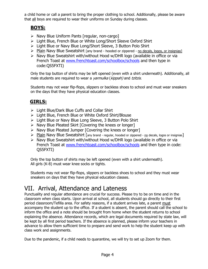a child home or call a parent to bring the proper clothing to school. Additionally, please be aware that all boys are required to wear their uniforms on Sunday during classes.

#### **BOYS:**

- $\triangleright$  Navy Blue Uniform Pants [regular, non-cargo]
- Light Blue, French Blue or White Long/Short Sleeve Oxford Shirt
- ▶ Light Blue or Navy Blue Long/Short Sleeve, 3 Button Polo Shirt
- $\triangleright$  Plain Navy Blue Sweatshirt [any brand hooded or zippered no decals, logos, or insignias]
- $\triangleright$  Navy Blue Sweatshirt with/without Hood w/DHR logo (available in office or via French Toast at [www.frenchtoast.com/schoolbox/schools](http://www.frenchtoast.com/schoolbox/schools) and then type in code:QS5FXTI)

Only the top button of shirts may be left opened (even with a shirt underneath). Additionally, all male students are required to wear a *yarmulka* (kippah) and tzitzis.

Students may not wear flip-flops, slippers or backless shoes to school and must wear sneakers on the days that they have physical education classes.

#### **GIRLS:**

- $\triangleright$  Light Blue/Dark Blue Cuffs and Collar Shirt
- Light Blue, French Blue or White Oxford Shirt/Blouse
- > Light Blue or Navy Blue Long Sleeve, 3 Button Polo Shirt
- $\triangleright$  Navy Blue Pleated Skirt [Covering the knees or longer]
- $\triangleright$  Navy Blue Pleated Jumper [Covering the knees or longer]
- Plain Navy Blue Sweatshirt [any brand regular, hooded or zippered no decals, logos or insignias]
- $\triangleright$  Navy Blue Sweatshirt with/without Hood w/DHR logo (available in office or via French Toast at [www.frenchtoast.com/schoolbox/schools](http://www.frenchtoast.com/schoolbox/schools) and then type in code: QS5FXTI)

Only the top button of shirts may be left opened (even with a shirt underneath). All girls (K-8) must wear knee socks or tights.

Students may not wear flip-flops, slippers or backless shoes to school and they must wear sneakers on days that they have physical education classes.

## VII. Arrival, Attendance and Lateness

Punctuality and regular attendance are crucial for success. Please try to be on time and in the classroom when class starts. Upon arrival at school, all students should go directly to their first period classroom/Tefilla area. For safety reasons, if a student arrives late, a parent must accompany the student up to the office. If a student is absent, the parent should call the school to inform the office and a note should be brought from home when the student returns to school explaining the absence. Attendance records, which are legal documents required by state law, will be kept by all first period teachers. If the absence is planned, please inform your teachers in advance to allow them sufficient time to prepare and send work to help the student keep up with class work and assignments.

Due to the pandemic, if a child needs to quarantine, we will try to set up Zoom for them.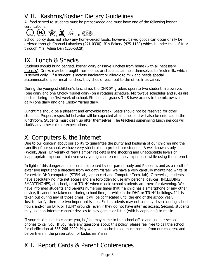## VIII. Kashrus/Kosher Dietary Guidelines

All food served to students must be prepackaged and must have one of the following kosher certifications:

 $(\mathbb{O},\mathbb{G})$ ,  $\mathbb{R},$   $\mathbb{B}$ ,  $\mathbb{R}$  or  $\mathbb{CP}$  .

School policy does not allow any home-baked foods, however, baked goods can occasionally be ordered through Chabad Lubavitch (271-0330), BJ's Bakery (475-1180) which is under the kuf-K or through Mrs. Adina Dan (330-5828).

## IX. Lunch & Snacks

Students should bring bagged, kosher dairy or Parve lunches from home (with all necessary utensils). Drinks may be brought from home, or students can help themselves to fresh milk, which is served daily. If a student is lactose intolerant or allergic to milk and needs special accommodations for meat lunches, they should reach out to the office in advance.

During the youngest children's lunchtime, the DHR 8<sup>th</sup> graders operate two student microwaves (one dairy and one Cholov Yisrael dairy) on a rotating schedule. Microwave schedules and rules are posted during the first week of school. Students in grades 3 - 8 have access to the microwaves daily (one dairy and one Cholov Yisrael dairy).

Lunchtime should be a pleasant and enjoyable break. Seats should not be reserved for other students. Proper, respectful behavior will be expected at all times and will also be enforced in the lunchroom. Students must clean up after themselves. The teachers supervising lunch periods will clarify any other rules or expectations.

## X. Computers & the Internet

Due to our concern about our ability to guarantee the purity and kedusha of our children and the sanctity of our school, we have very strict rules to protect our students. A well-known study (Wolak, Janis; University of New Hampshire) details the shocking and unacceptable levels of inappropriate exposure that even very young children routinely experience while using the internet.

In light of this danger and concerns expressed by our parent body and Rabbaim, and as a result of extensive input and a directive from Agudath Yisrael, we have a very carefully maintained whitelist for certain DHR computers (STEM lab, laptop cart and Computer Tech. lab). Otherwise, students have absolutely no internet access and are forbidden to use any personal devices, INCLUDING SMARTPHONES, at school, or at TIUNY when middle school students are there for davening. We have informed students and parents numerous times that if a child has a smartphone or any other device, it cannot be taken out during school time, or while in the DHR or TIUNY buildings. If it is taken out during any of those times, it will be confiscated until the end of the school year. Just to clarify, there are two important issues. First, students may not use any device during school hours and/or on DHR or TIUNY grounds, even if they do not have internet access. Second, students may use non-internet capable devices to play games or listen (with headphones) to music.

If your child needs to contact you, he/she may come to the school office and use our school phones to call you. If you have any questions about this policy, please feel free to call the school for clarification at 585-266-2920. May we all be zoche to see much nachas from our children, and be partners in the preservation of kedushas Yisrael.

## XII. Report Cards & Parent Conferences